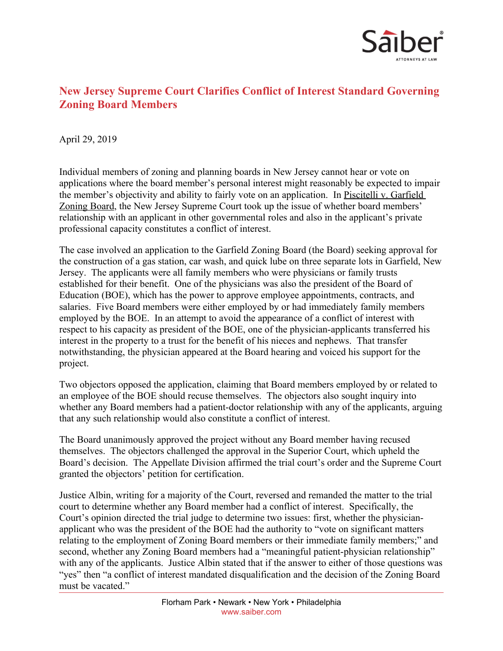

## **New Jersey Supreme Court Clarifies Conflict of Interest Standard Governing Zoning Board Members**

April 29, 2019

Individual members of zoning and planning boards in New Jersey cannot hear or vote on applications where the board member's personal interest might reasonably be expected to impair the member's objectivity and ability to fairly vote on an application. In Piscitelli v. Garfield Zoning Board, the New Jersey Supreme Court took up the issue of whether board members' relationship with an applicant in other governmental roles and also in the applicant's private professional capacity constitutes a conflict of interest.

The case involved an application to the Garfield Zoning Board (the Board) seeking approval for the construction of a gas station, car wash, and quick lube on three separate lots in Garfield, New Jersey. The applicants were all family members who were physicians or family trusts established for their benefit. One of the physicians was also the president of the Board of Education (BOE), which has the power to approve employee appointments, contracts, and salaries. Five Board members were either employed by or had immediately family members employed by the BOE. In an attempt to avoid the appearance of a conflict of interest with respect to his capacity as president of the BOE, one of the physician-applicants transferred his interest in the property to a trust for the benefit of his nieces and nephews. That transfer notwithstanding, the physician appeared at the Board hearing and voiced his support for the project.

Two objectors opposed the application, claiming that Board members employed by or related to an employee of the BOE should recuse themselves. The objectors also sought inquiry into whether any Board members had a patient-doctor relationship with any of the applicants, arguing that any such relationship would also constitute a conflict of interest.

The Board unanimously approved the project without any Board member having recused themselves. The objectors challenged the approval in the Superior Court, which upheld the Board's decision. The Appellate Division affirmed the trial court's order and the Supreme Court granted the objectors' petition for certification.

Justice Albin, writing for a majority of the Court, reversed and remanded the matter to the trial court to determine whether any Board member had a conflict of interest. Specifically, the Court's opinion directed the trial judge to determine two issues: first, whether the physicianapplicant who was the president of the BOE had the authority to "vote on significant matters relating to the employment of Zoning Board members or their immediate family members;" and second, whether any Zoning Board members had a "meaningful patient-physician relationship" with any of the applicants. Justice Albin stated that if the answer to either of those questions was "yes" then "a conflict of interest mandated disqualification and the decision of the Zoning Board must be vacated."